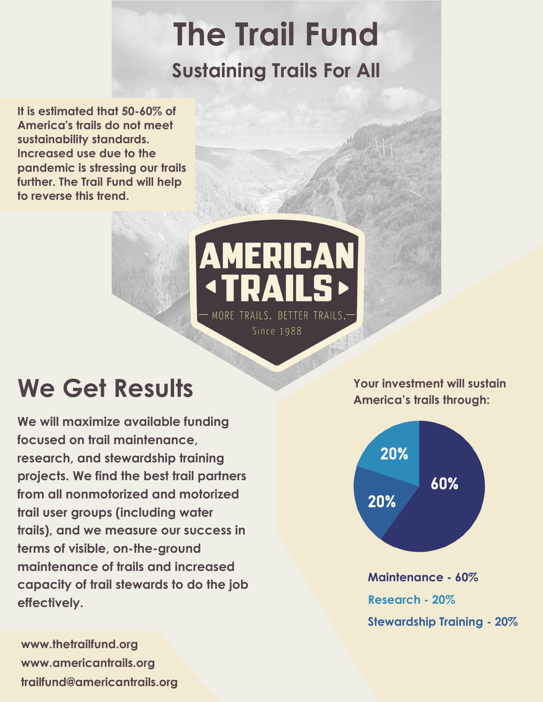# **The Trail Fund Sustaining Trails For All**

**It is estimated that 50-60% of America's trails do not meet sustainability standards. Increased use due to the pandemic is stressing our trails further. The Trail Fund will help to reverse this trend.**

### **AMERICAN** DЛ MORE TRAILS. BETTER TRAILS.-Since 1988

## **We Get Results**

**We will maximize available funding focused on trail maintenance, research, and stewardship training projects. We find the best trail partners from all nonmotorized and motorized trail user groups (including water trails), and we measure our success in terms of visible, on-the-ground maintenance of trails and increased capacity of trail stewards to do the job effectively.**

**www.thetrailfund.org www.americantrails.org trailfund@americantrails.org** **Your investment will sustain America's trails through:**



**Maintenance - 60% Research - 20% Stewardship Training - 20%**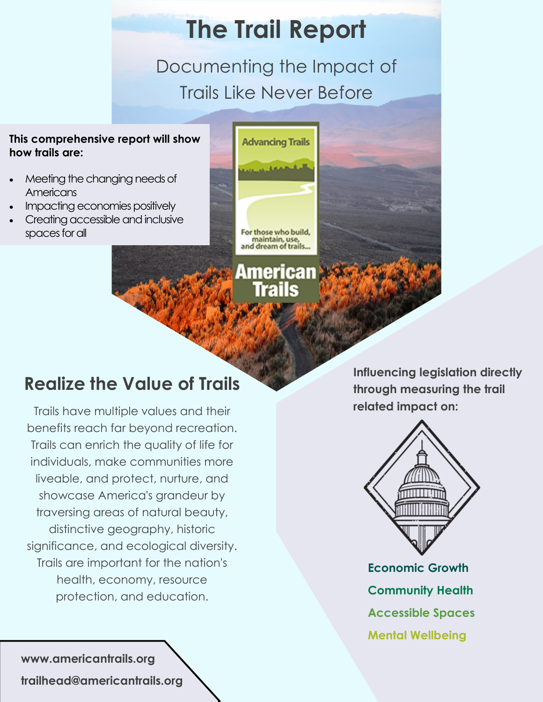### **The Trail Report**

Documenting the Impact of Trails Like Never Before

#### **This comprehensive report will show how trails are:**

- Meeting the changing needs of **Americans**
- Impacting economies positively
- Creating accessible and inclusive spaces for all



American

### **Realize the Value of Trails**

Trails have multiple values and their benefits reach far beyond recreation. Trails can enrich the quality of life for individuals, make communities more liveable, and protect, nurture, and showcase America's grandeur by traversing areas of natural beauty, distinctive geography, historic significance, and ecological diversity. Trails are important for the nation's health, economy, resource protection, and education.

**Influencing legislation directly through measuring the trail related impact on:**



**Economic Growth Community Health Accessible Spaces Mental Wellbeing**

**www.americantrails.org trailhead@americantrails.org**